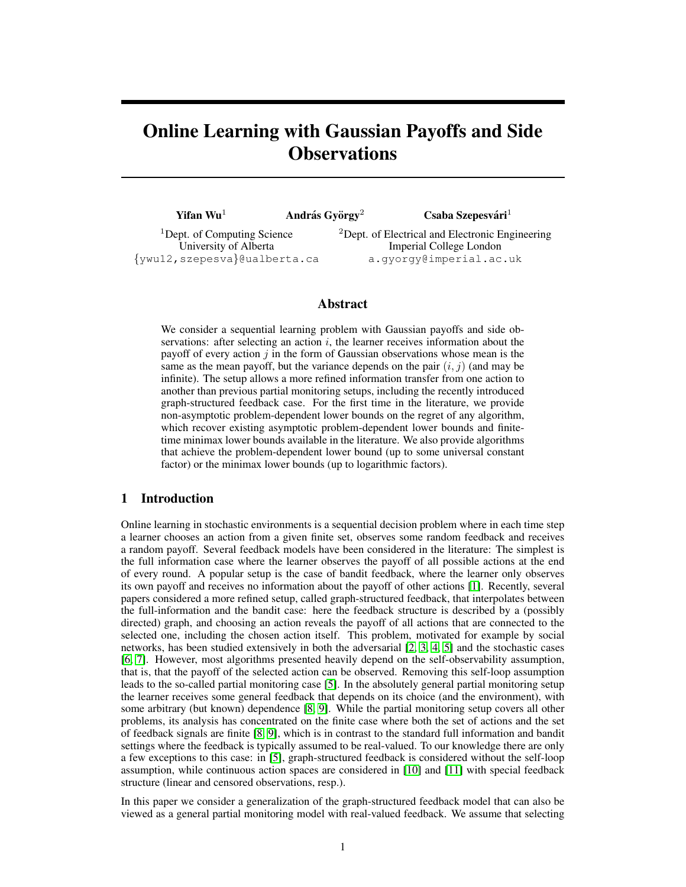# Online Learning with Gaussian Payoffs and Side **Observations**

| <b>Yifan Wu</b> <sup>1</sup>                                     | András György <sup>2</sup> | Csaba Szepesvári <sup>1</sup>                                                          |
|------------------------------------------------------------------|----------------------------|----------------------------------------------------------------------------------------|
| <sup>1</sup> Dept. of Computing Science<br>University of Alberta |                            | <sup>2</sup> Dept. of Electrical and Electronic Engineering<br>Imperial College London |

{ywu12,szepesva}@ualberta.ca

a.gyorgy@imperial.ac.uk

# Abstract

We consider a sequential learning problem with Gaussian payoffs and side observations: after selecting an action  $i$ , the learner receives information about the payoff of every action  $j$  in the form of Gaussian observations whose mean is the same as the mean payoff, but the variance depends on the pair  $(i, j)$  (and may be infinite). The setup allows a more refined information transfer from one action to another than previous partial monitoring setups, including the recently introduced graph-structured feedback case. For the first time in the literature, we provide non-asymptotic problem-dependent lower bounds on the regret of any algorithm, which recover existing asymptotic problem-dependent lower bounds and finitetime minimax lower bounds available in the literature. We also provide algorithms that achieve the problem-dependent lower bound (up to some universal constant factor) or the minimax lower bounds (up to logarithmic factors).

# 1 Introduction

Online learning in stochastic environments is a sequential decision problem where in each time step a learner chooses an action from a given finite set, observes some random feedback and receives a random payoff. Several feedback models have been considered in the literature: The simplest is the full information case where the learner observes the payoff of all possible actions at the end of every round. A popular setup is the case of bandit feedback, where the learner only observes its own payoff and receives no information about the payoff of other actions [\[1\]](#page-8-0). Recently, several papers considered a more refined setup, called graph-structured feedback, that interpolates between the full-information and the bandit case: here the feedback structure is described by a (possibly directed) graph, and choosing an action reveals the payoff of all actions that are connected to the selected one, including the chosen action itself. This problem, motivated for example by social networks, has been studied extensively in both the adversarial [\[2,](#page-8-1) [3,](#page-8-2) [4,](#page-8-3) [5\]](#page-8-4) and the stochastic cases [\[6,](#page-8-5) [7\]](#page-8-6). However, most algorithms presented heavily depend on the self-observability assumption, that is, that the payoff of the selected action can be observed. Removing this self-loop assumption leads to the so-called partial monitoring case [\[5\]](#page-8-4). In the absolutely general partial monitoring setup the learner receives some general feedback that depends on its choice (and the environment), with some arbitrary (but known) dependence [\[8,](#page-8-7) [9\]](#page-8-8). While the partial monitoring setup covers all other problems, its analysis has concentrated on the finite case where both the set of actions and the set of feedback signals are finite [\[8,](#page-8-7) [9\]](#page-8-8), which is in contrast to the standard full information and bandit settings where the feedback is typically assumed to be real-valued. To our knowledge there are only a few exceptions to this case: in [\[5\]](#page-8-4), graph-structured feedback is considered without the self-loop assumption, while continuous action spaces are considered in [\[10\]](#page-8-9) and [\[11\]](#page-8-10) with special feedback structure (linear and censored observations, resp.).

In this paper we consider a generalization of the graph-structured feedback model that can also be viewed as a general partial monitoring model with real-valued feedback. We assume that selecting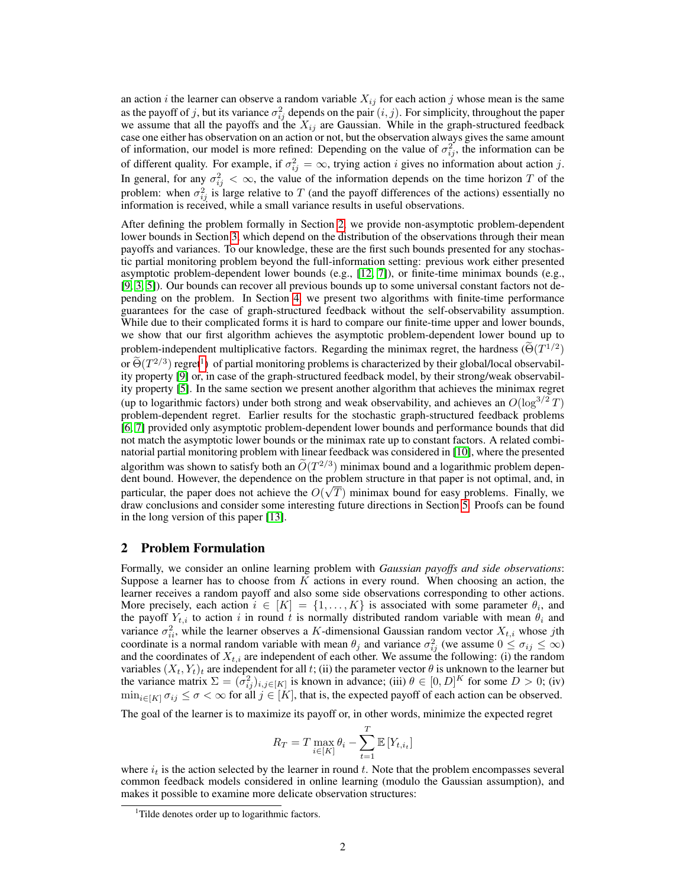an action i the learner can observe a random variable  $X_{ij}$  for each action j whose mean is the same as the payoff of j, but its variance  $\sigma_{ij}^2$  depends on the pair  $(i, j)$ . For simplicity, throughout the paper we assume that all the payoffs and the  $X_{ij}$  are Gaussian. While in the graph-structured feedback case one either has observation on an action or not, but the observation always gives the same amount of information, our model is more refined: Depending on the value of  $\sigma_{ij}^2$ , the information can be of different quality. For example, if  $\sigma_{ij}^2 = \infty$ , trying action *i* gives no information about action *j*. In general, for any  $\sigma_{ij}^2 < \infty$ , the value of the information depends on the time horizon T of the problem: when  $\sigma_{ij}^2$  is large relative to T (and the payoff differences of the actions) essentially no information is received, while a small variance results in useful observations.

After defining the problem formally in Section [2,](#page-1-0) we provide non-asymptotic problem-dependent lower bounds in Section [3,](#page-2-0) which depend on the distribution of the observations through their mean payoffs and variances. To our knowledge, these are the first such bounds presented for any stochastic partial monitoring problem beyond the full-information setting: previous work either presented asymptotic problem-dependent lower bounds (e.g., [\[12,](#page-8-11) [7\]](#page-8-6)), or finite-time minimax bounds (e.g., [\[9,](#page-8-8) [3,](#page-8-2) [5\]](#page-8-4)). Our bounds can recover all previous bounds up to some universal constant factors not depending on the problem. In Section [4,](#page-5-0) we present two algorithms with finite-time performance guarantees for the case of graph-structured feedback without the self-observability assumption. While due to their complicated forms it is hard to compare our finite-time upper and lower bounds, we show that our first algorithm achieves the asymptotic problem-dependent lower bound up to problem-independent multiplicative factors. Regarding the minimax regret, the hardness ( $\tilde{\Theta}(T^{1/2})$ or  $\Theta(T^{2/3})$  regret<sup>[1](#page-1-1)</sup>) of partial monitoring problems is characterized by their global/local observability property [\[9\]](#page-8-8) or, in case of the graph-structured feedback model, by their strong/weak observability property [\[5\]](#page-8-4). In the same section we present another algorithm that achieves the minimax regret (up to logarithmic factors) under both strong and weak observability, and achieves an  $O(\log^{3/2}T)$ problem-dependent regret. Earlier results for the stochastic graph-structured feedback problems [\[6,](#page-8-5) [7\]](#page-8-6) provided only asymptotic problem-dependent lower bounds and performance bounds that did not match the asymptotic lower bounds or the minimax rate up to constant factors. A related combinatorial partial monitoring problem with linear feedback was considered in [\[10\]](#page-8-9), where the presented algorithm was shown to satisfy both an  $O(T^{2/3})$  minimax bound and a logarithmic problem dependent dent bound. However, the dependence on the problem structure in that paper is not optimal, and, in particular, the paper does not achieve the  $O(\sqrt{T})$  minimax bound for easy problems. Finally, we draw conclusions and consider some interesting future directions in Section [5.](#page-7-0) Proofs can be found in the long version of this paper [\[13\]](#page-8-12).

# <span id="page-1-0"></span>2 Problem Formulation

Formally, we consider an online learning problem with *Gaussian payoffs and side observations*: Suppose a learner has to choose from  $K$  actions in every round. When choosing an action, the learner receives a random payoff and also some side observations corresponding to other actions. More precisely, each action  $i \in [K] = \{1, \ldots, K\}$  is associated with some parameter  $\theta_i$ , and the payoff  $Y_{t,i}$  to action i in round t is normally distributed random variable with mean  $\theta_i$  and variance  $\sigma_{ii}^2$ , while the learner observes a K-dimensional Gaussian random vector  $X_{t,i}$  whose jth coordinate is a normal random variable with mean  $\theta_j$  and variance  $\sigma_{ij}^2$  (we assume  $0 \le \sigma_{ij} \le \infty$ ) and the coordinates of  $X_{t,i}$  are independent of each other. We assume the following: (i) the random variables  $(X_t, Y_t)_t$  are independent for all t; (ii) the parameter vector  $\theta$  is unknown to the learner but the variance matrix  $\Sigma = (\sigma_{ij}^2)_{i,j \in [K]}$  is known in advance; (iii)  $\theta \in [0, D]^K$  for some  $D > 0$ ; (iv)  $\min_{i\in[K]}\sigma_{ij}\leq \sigma<\infty$  for all  $j\in[K]$ , that is, the expected payoff of each action can be observed.

The goal of the learner is to maximize its payoff or, in other words, minimize the expected regret

$$
R_T = T \max_{i \in [K]} \theta_i - \sum_{t=1}^T \mathbb{E}\left[Y_{t,i_t}\right]
$$

where  $i_t$  is the action selected by the learner in round t. Note that the problem encompasses several common feedback models considered in online learning (modulo the Gaussian assumption), and makes it possible to examine more delicate observation structures:

<span id="page-1-1"></span><sup>&</sup>lt;sup>1</sup>Tilde denotes order up to logarithmic factors.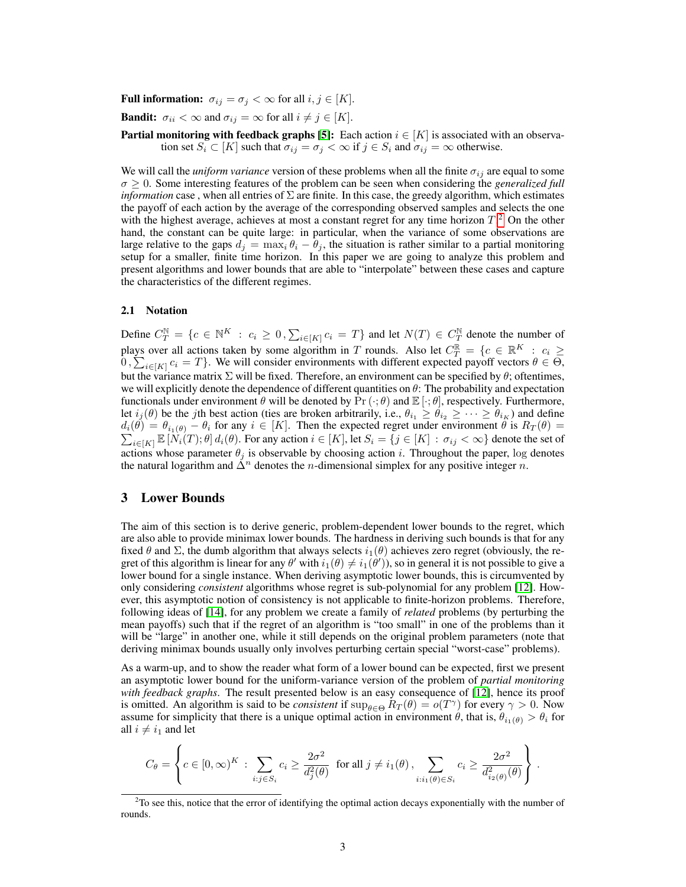### **Full information:**  $\sigma_{ij} = \sigma_j < \infty$  for all  $i, j \in [K]$ .

**Bandit:**  $\sigma_{ii} < \infty$  and  $\sigma_{ij} = \infty$  for all  $i \neq j \in [K]$ .

**Partial monitoring with feedback graphs [\[5\]](#page-8-4):** Each action  $i \in [K]$  is associated with an observation set  $S_i \subset [K]$  such that  $\sigma_{ij} = \sigma_j < \infty$  if  $j \in S_i$  and  $\sigma_{ij} = \infty$  otherwise.

We will call the *uniform variance* version of these problems when all the finite  $\sigma_{ij}$  are equal to some  $\sigma \geq 0$ . Some interesting features of the problem can be seen when considering the *generalized full information* case, when all entries of  $\Sigma$  are finite. In this case, the greedy algorithm, which estimates the payoff of each action by the average of the corresponding observed samples and selects the one with the highest average, achieves at most a constant regret for any time horizon  $T<sup>2</sup>$  $T<sup>2</sup>$  $T<sup>2</sup>$ . On the other hand, the constant can be quite large: in particular, when the variance of some observations are large relative to the gaps  $d_j = \max_i \theta_i - \theta_j$ , the situation is rather similar to a partial monitoring setup for a smaller, finite time horizon. In this paper we are going to analyze this problem and present algorithms and lower bounds that are able to "interpolate" between these cases and capture the characteristics of the different regimes.

### 2.1 Notation

Define  $C_T^{\mathbb{N}} = \{c \in \mathbb{N}^K : c_i \geq 0, \sum_{i \in [K]} c_i = T\}$  and let  $N(T) \in C_T^{\mathbb{N}}$  denote the number of plays over all actions taken by some algorithm in T rounds. Also let  $C_T^{\mathbb{R}} = \{c \in \mathbb{R}^K : c_i \geq 0\}$  $0, \sum_{i \in [K]} c_i = T$ . We will consider environments with different expected payoff vectors  $\theta \in \Theta$ , but the variance matrix  $\Sigma$  will be fixed. Therefore, an environment can be specified by  $\theta$ ; oftentimes, we will explicitly denote the dependence of different quantities on  $\theta$ : The probability and expectation functionals under environment  $\theta$  will be denoted by  $Pr(\cdot;\theta)$  and  $E[\cdot;\theta]$ , respectively. Furthermore, let  $i_j(\theta)$  be the *j*th best action (ties are broken arbitrarily, i.e.,  $\theta_{i_1} \ge \theta_{i_2} \ge \cdots \ge \theta_{i_K}$ ) and define d P  $i_i(\theta) = \theta_{i_1(\theta)} - \theta_i$  for any  $i \in [K]$ . Then the expected regret under environment  $\theta$  is  $R_T(\theta) =$  $\sum_{i\in[K]}\mathbb{E}[\hat{N}_i(T);\theta] d_i(\theta)$ . For any action  $i\in[K]$ , let  $S_i=\{j\in[K] : \sigma_{ij}<\infty\}$  denote the set of actions whose parameter  $\theta_j$  is observable by choosing action i. Throughout the paper, log denotes the natural logarithm and  $\Delta^n$  denotes the *n*-dimensional simplex for any positive integer *n*.

# <span id="page-2-0"></span>3 Lower Bounds

The aim of this section is to derive generic, problem-dependent lower bounds to the regret, which are also able to provide minimax lower bounds. The hardness in deriving such bounds is that for any fixed  $\theta$  and  $\Sigma$ , the dumb algorithm that always selects  $i_1(\theta)$  achieves zero regret (obviously, the regret of this algorithm is linear for any  $\theta'$  with  $i_1(\theta) \neq i_1(\theta')$ , so in general it is not possible to give a lower bound for a single instance. When deriving asymptotic lower bounds, this is circumvented by only considering *consistent* algorithms whose regret is sub-polynomial for any problem [\[12\]](#page-8-11). However, this asymptotic notion of consistency is not applicable to finite-horizon problems. Therefore, following ideas of [\[14\]](#page-8-13), for any problem we create a family of *related* problems (by perturbing the mean payoffs) such that if the regret of an algorithm is "too small" in one of the problems than it will be "large" in another one, while it still depends on the original problem parameters (note that deriving minimax bounds usually only involves perturbing certain special "worst-case" problems).

As a warm-up, and to show the reader what form of a lower bound can be expected, first we present an asymptotic lower bound for the uniform-variance version of the problem of *partial monitoring with feedback graphs*. The result presented below is an easy consequence of [\[12\]](#page-8-11), hence its proof is omitted. An algorithm is said to be *consistent* if  $\sup_{\theta \in \Theta} R_T(\theta) = o(T^{\gamma})$  for every  $\gamma > 0$ . Now assume for simplicity that there is a unique optimal action in environment  $\theta$ , that is,  $\theta_{i_1(\theta)} > \theta_i$  for all  $i \neq i_1$  and let

$$
C_{\theta} = \left\{ c \in [0, \infty)^K \, : \, \sum_{i:j \in S_i} c_i \ge \frac{2\sigma^2}{d_j^2(\theta)} \text{ for all } j \neq i_1(\theta), \sum_{i:i_1(\theta) \in S_i} c_i \ge \frac{2\sigma^2}{d_{i_2(\theta)}^2(\theta)} \right\}.
$$

<span id="page-2-1"></span><sup>&</sup>lt;sup>2</sup>To see this, notice that the error of identifying the optimal action decays exponentially with the number of rounds.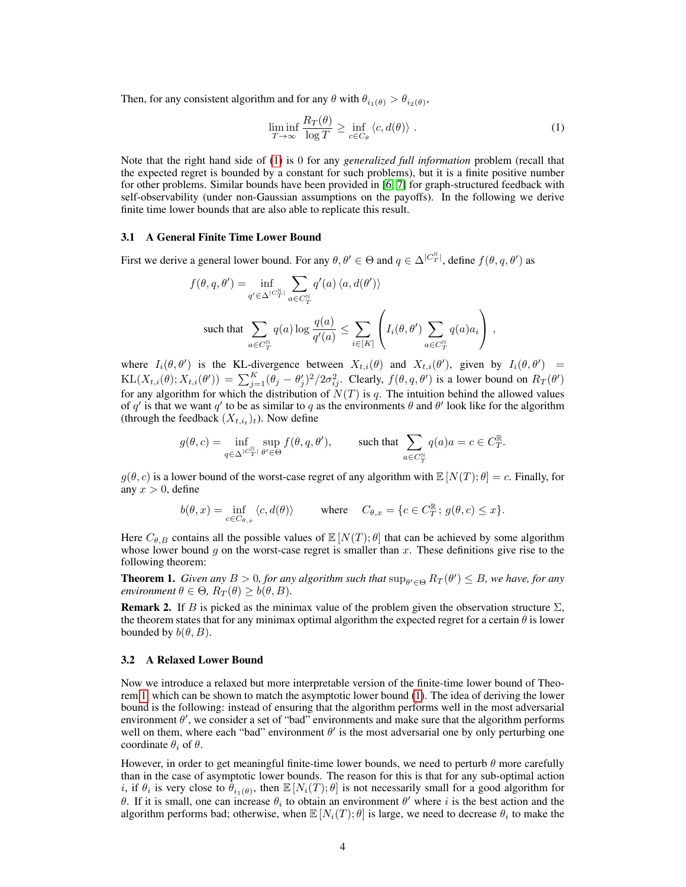Then, for any consistent algorithm and for any  $\theta$  with  $\theta_{i_1(\theta)} > \theta_{i_2(\theta)}$ ,

<span id="page-3-0"></span>
$$
\liminf_{T \to \infty} \frac{R_T(\theta)}{\log T} \ge \inf_{c \in C_{\theta}} \langle c, d(\theta) \rangle . \tag{1}
$$

.

Note that the right hand side of [\(1\)](#page-3-0) is 0 for any *generalized full information* problem (recall that the expected regret is bounded by a constant for such problems), but it is a finite positive number for other problems. Similar bounds have been provided in [\[6,](#page-8-5) [7\]](#page-8-6) for graph-structured feedback with self-observability (under non-Gaussian assumptions on the payoffs). In the following we derive finite time lower bounds that are also able to replicate this result.

### 3.1 A General Finite Time Lower Bound

First we derive a general lower bound. For any  $\theta, \theta' \in \Theta$  and  $q \in \Delta^{|C_T^{\mathbb{N}}|}$ , define  $f(\theta, q, \theta')$  as

$$
f(\theta, q, \theta') = \inf_{q' \in \Delta^{|C_T^{\mathbb{N}}|}} \sum_{a \in C_T^{\mathbb{N}}} q'(a) \langle a, d(\theta') \rangle
$$
  
such that 
$$
\sum_{a \in C_T^{\mathbb{N}}} q(a) \log \frac{q(a)}{q'(a)} \le \sum_{i \in [K]} \left( I_i(\theta, \theta') \sum_{a \in C_T^{\mathbb{N}}} q(a) a_i \right),
$$

where  $I_i(\theta, \theta')$  is the KL-divergence between  $X_{t,i}(\theta)$  and  $X_{t,i}(\theta')$ , given by  $I_i(\theta, \theta') =$  $KL(X_{t,i}(\theta); X_{t,i}(\theta')) = \sum_{j=1}^{K} (\theta_j - \theta'_j)^2 / 2\sigma_{ij}^2$ . Clearly,  $f(\theta, q, \theta')$  is a lower bound on  $R_T(\theta')$ for any algorithm for which the distribution of  $N(T)$  is q. The intuition behind the allowed values of q' is that we want q' to be as similar to q as the environments  $\theta$  and  $\theta'$  look like for the algorithm (through the feedback  $(X_{t,i_t})_t$ ). Now define

$$
g(\theta, c) = \inf_{q \in \Delta^{|C^{\mathbb{N}}_T|}} \sup_{\theta' \in \Theta} f(\theta, q, \theta'), \qquad \text{such that } \sum_{a \in C^{\mathbb{N}}_T} q(a)a = c \in C^{\mathbb{R}}_T
$$

 $g(\theta, c)$  is a lower bound of the worst-case regret of any algorithm with  $\mathbb{E}[N(T); \theta] = c$ . Finally, for any  $x > 0$ , define

$$
b(\theta, x) = \inf_{c \in C_{\theta, x}} \langle c, d(\theta) \rangle \quad \text{where} \quad C_{\theta, x} = \{c \in C_T^{\mathbb{R}}; \, g(\theta, c) \le x\}.
$$

Here  $C_{\theta,B}$  contains all the possible values of  $\mathbb{E}[N(T);\theta]$  that can be achieved by some algorithm whose lower bound  $g$  on the worst-case regret is smaller than  $x$ . These definitions give rise to the following theorem:

<span id="page-3-1"></span>**Theorem 1.** *Given any*  $B > 0$ , for any algorithm such that  $\sup_{\theta' \in \Theta} R_T(\theta') \leq B$ , we have, for any *environment*  $\theta \in \Theta$ ,  $R_T(\theta) \ge b(\theta, B)$ .

**Remark 2.** If B is picked as the minimax value of the problem given the observation structure  $\Sigma$ , the theorem states that for any minimax optimal algorithm the expected regret for a certain  $\theta$  is lower bounded by  $b(\theta, B)$ .

### 3.2 A Relaxed Lower Bound

Now we introduce a relaxed but more interpretable version of the finite-time lower bound of Theorem [1,](#page-3-1) which can be shown to match the asymptotic lower bound [\(1\)](#page-3-0). The idea of deriving the lower bound is the following: instead of ensuring that the algorithm performs well in the most adversarial environment  $\theta'$ , we consider a set of "bad" environments and make sure that the algorithm performs well on them, where each "bad" environment  $\theta'$  is the most adversarial one by only perturbing one coordinate  $\theta_i$  of  $\theta$ .

However, in order to get meaningful finite-time lower bounds, we need to perturb  $\theta$  more carefully than in the case of asymptotic lower bounds. The reason for this is that for any sub-optimal action i, if  $\theta_i$  is very close to  $\dot{\theta}_{i_1(\theta)}$ , then  $\mathbb{E}[N_i(T);\theta]$  is not necessarily small for a good algorithm for θ. If it is small, one can increase  $θ<sub>i</sub>$  to obtain an environment  $θ'$  where *i* is the best action and the algorithm performs bad; otherwise, when  $\mathbb{E}[N_i(T);\theta]$  is large, we need to decrease  $\theta_i$  to make the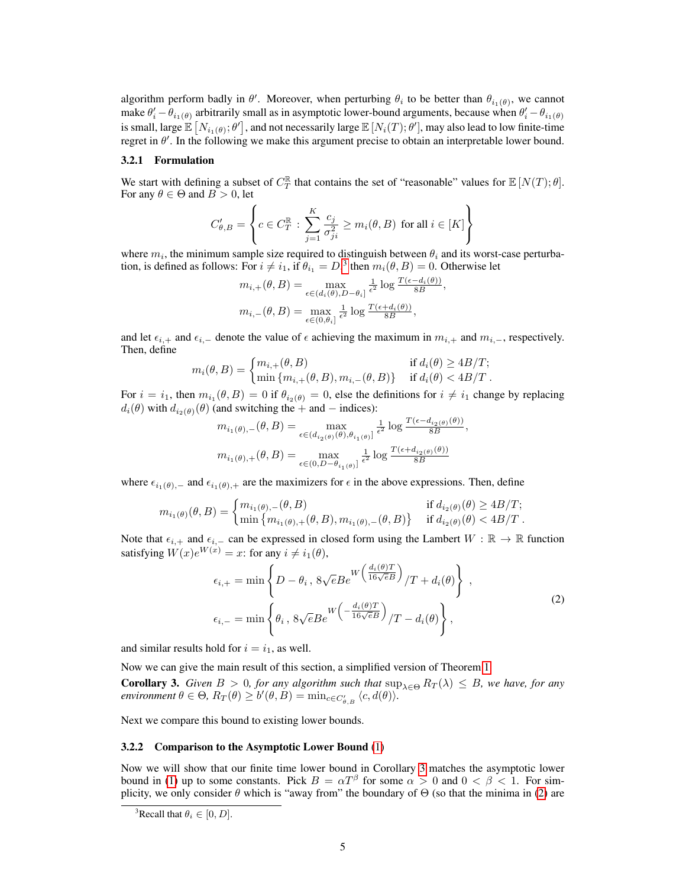algorithm perform badly in  $\theta'$ . Moreover, when perturbing  $\theta_i$  to be better than  $\theta_{i_1(\theta)}$ , we cannot make  $\theta'_i - \theta_{i_1(\theta)}$  arbitrarily small as in asymptotic lower-bound arguments, because when  $\theta'_i - \theta_{i_1(\theta)}$ is small, large  $\mathbb{E}\left[N_{i_1(\theta)};\theta'\right]$ , and not necessarily large  $\mathbb{E}\left[N_i(T);\theta'\right]$ , may also lead to low finite-time regret in  $\theta'$ . In the following we make this argument precise to obtain an interpretable lower bound.

#### 3.2.1 Formulation

We start with defining a subset of  $C_T^{\mathbb{R}}$  that contains the set of "reasonable" values for  $\mathbb{E}[N(T);\theta]$ . For any  $\theta \in \Theta$  and  $B > 0$ , let

$$
C_{\theta,B}' = \left\{c \in C_T^{\mathbb{R}}: \sum_{j=1}^K \frac{c_j}{\sigma_{ji}^2} \geq m_i(\theta,B) \text{ for all } i \in [K]\right\}
$$

where  $m_i$ , the minimum sample size required to distinguish between  $\theta_i$  and its worst-case perturbation, is defined as follows: For  $i \neq i_1$ , if  $\theta_{i_1} = D$ ,<sup>[3](#page-4-0)</sup> then  $m_i(\theta, B) = 0$ . Otherwise let

,

$$
m_{i,+}(\theta, B) = \max_{\epsilon \in (d_i(\theta), D - \theta_i]} \frac{1}{\epsilon^2} \log \frac{T(\epsilon - d_i(\theta))}{8B}
$$

$$
m_{i,-}(\theta, B) = \max_{\epsilon \in (0, \theta_i]} \frac{1}{\epsilon^2} \log \frac{T(\epsilon + d_i(\theta))}{8B},
$$

and let  $\epsilon_{i,+}$  and  $\epsilon_{i,-}$  denote the value of  $\epsilon$  achieving the maximum in  $m_{i,+}$  and  $m_{i,-}$ , respectively. Then, define

$$
m_i(\theta, B) = \begin{cases} m_{i,+}(\theta, B) & \text{if } d_i(\theta) \ge 4B/T; \\ \min\{m_{i,+}(\theta, B), m_{i,-}(\theta, B)\} & \text{if } d_i(\theta) < 4B/T. \end{cases}
$$

For  $i = i_1$ , then  $m_{i_1}(\theta, B) = 0$  if  $\theta_{i_2(\theta)} = 0$ , else the definitions for  $i \neq i_1$  change by replacing  $d_i(\theta)$  with  $d_{i_2(\theta)}(\theta)$  (and switching the + and − indices):

$$
m_{i_1(\theta),-}(\theta, B) = \max_{\epsilon \in (d_{i_2(\theta)}(\theta), \theta_{i_1(\theta)})} \frac{1}{\epsilon^2} \log \frac{T(\epsilon - d_{i_2(\theta)}(\theta))}{8B},
$$
  

$$
m_{i_1(\theta),+}(\theta, B) = \max_{\epsilon \in (0, D - \theta_{i_1(\theta)})} \frac{1}{\epsilon^2} \log \frac{T(\epsilon + d_{i_2(\theta)}(\theta))}{8B}
$$

where  $\epsilon_{i_1(\theta),-}$  and  $\epsilon_{i_1(\theta),+}$  are the maximizers for  $\epsilon$  in the above expressions. Then, define

$$
m_{i_1(\theta)}(\theta, B) = \begin{cases} m_{i_1(\theta), -}(\theta, B) & \text{if } d_{i_2(\theta)}(\theta) \ge 4B/T; \\ \min \{ m_{i_1(\theta), +}(\theta, B), m_{i_1(\theta), -}(\theta, B) \} & \text{if } d_{i_2(\theta)}(\theta) < 4B/T. \end{cases}
$$

Note that  $\epsilon_{i,+}$  and  $\epsilon_{i,-}$  can be expressed in closed form using the Lambert  $W : \mathbb{R} \to \mathbb{R}$  function satisfying  $W(x)e^{W(x)} = x$ : for any  $i \neq i_1(\theta)$ ,

<span id="page-4-2"></span>
$$
\epsilon_{i,+} = \min \left\{ D - \theta_i, \ 8\sqrt{e}Be^{W\left(\frac{d_i(\theta)T}{16\sqrt{e}B}\right)}/T + d_i(\theta) \right\},
$$
\n
$$
\epsilon_{i,-} = \min \left\{ \theta_i, \ 8\sqrt{e}Be^{W\left(-\frac{d_i(\theta)T}{16\sqrt{e}B}\right)}/T - d_i(\theta) \right\},
$$
\n(2)

and similar results hold for  $i = i_1$ , as well.

Now we can give the main result of this section, a simplified version of Theorem [1:](#page-3-1)

<span id="page-4-1"></span>**Corollary 3.** *Given*  $B > 0$ *, for any algorithm such that*  $\sup_{\lambda \in \Theta} R_T(\lambda) \leq B$ *, we have, for any*  $\mathit{environment} \ \theta \in \Theta, \ R_T(\theta) \geq b'(\theta, B) = \min_{c \in C'_{\theta, B}} \langle c, d(\theta) \rangle.$ 

Next we compare this bound to existing lower bounds.

#### 3.2.2 Comparison to the Asymptotic Lower Bound [\(1\)](#page-3-0)

Now we will show that our finite time lower bound in Corollary [3](#page-4-1) matches the asymptotic lower bound in [\(1\)](#page-3-0) up to some constants. Pick  $B = \alpha T^{\beta}$  for some  $\alpha > 0$  and  $0 < \beta < 1$ . For simplicity, we only consider  $\theta$  which is "away from" the boundary of  $\Theta$  (so that the minima in [\(2\)](#page-4-2) are

<span id="page-4-0"></span><sup>&</sup>lt;sup>3</sup>Recall that  $\theta_i \in [0, D]$ .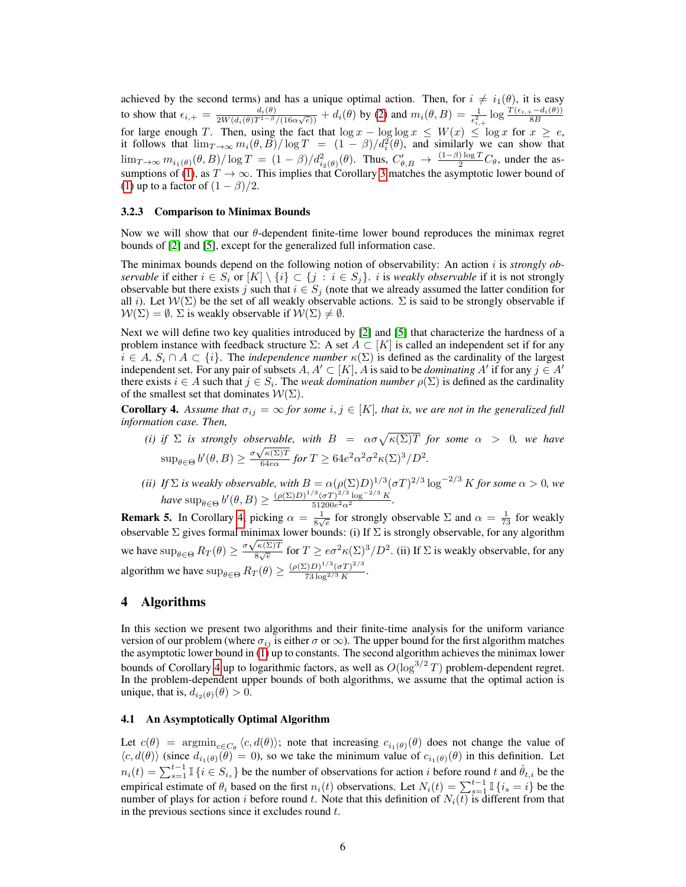achieved by the second terms) and has a unique optimal action. Then, for  $i \neq i_1(\theta)$ , it is easy to show that  $\epsilon_{i,+} = \frac{d_i(\theta)}{2W(d_i(\theta))T^{1-\beta}}$  $\frac{d_i(\theta)}{2W(d_i(\theta)T^{1-\beta}/(16\alpha\sqrt{e}))}+d_i(\theta)$  by [\(2\)](#page-4-2) and  $m_i(\theta,B)=\frac{1}{\epsilon_{i,+}^2}\log\frac{T(\epsilon_{i,+}-d_i(\theta))}{8B}$ for large enough T. Then, using the fact that  $\log x - \log \log x \leq W(x) \leq \log x$  for  $x \geq e$ , it follows that  $\lim_{T\to\infty} m_i(\theta, \vec{B})/\log T = (1 - \beta)/d_i^2(\theta)$ , and similarly we can show that  $\lim_{T\to\infty} m_{i_1(\theta)}(\theta, B)/\log T = (1-\beta)/d_{i_2(\theta)}^2(\theta)$ . Thus,  $C'_{\theta, B} \to \frac{(1-\beta)\log T}{2}C_{\theta}$ , under the as-sumptions of [\(1\)](#page-3-0), as  $T \to \infty$ . This implies that Corollary [3](#page-4-1) matches the asymptotic lower bound of [\(1\)](#page-3-0) up to a factor of  $(1 - \beta)/2$ .

#### 3.2.3 Comparison to Minimax Bounds

Now we will show that our  $\theta$ -dependent finite-time lower bound reproduces the minimax regret bounds of [\[2\]](#page-8-1) and [\[5\]](#page-8-4), except for the generalized full information case.

The minimax bounds depend on the following notion of observability: An action i is *strongly observable* if either  $i \in S_i$  or  $[K] \setminus \{i\} \subset \{j : i \in S_j\}$ . i is *weakly observable* if it is not strongly observable but there exists j such that  $i \in S_j$  (note that we already assumed the latter condition for all *i*). Let  $W(\Sigma)$  be the set of all weakly observable actions.  $\Sigma$  is said to be strongly observable if  $W(\Sigma) = \emptyset$ .  $\Sigma$  is weakly observable if  $W(\Sigma) \neq \emptyset$ .

Next we will define two key qualities introduced by [\[2\]](#page-8-1) and [\[5\]](#page-8-4) that characterize the hardness of a problem instance with feedback structure  $\Sigma$ : A set  $A \subset [K]$  is called an independent set if for any  $i \in A$ ,  $S_i \cap A \subset \{i\}$ . The *independence number*  $\kappa(\Sigma)$  is defined as the cardinality of the largest independent set. For any pair of subsets  $A, A' \subset [K], A$  is said to be *dominating*  $A'$  if for any  $j \in A'$ there exists  $i \in A$  such that  $j \in S_i$ . The *weak domination number*  $\rho(\Sigma)$  is defined as the cardinality of the smallest set that dominates  $W(\Sigma)$ .

<span id="page-5-1"></span>**Corollary 4.** Assume that  $\sigma_{ij} = \infty$  for some  $i, j \in [K]$ , that is, we are not in the generalized full *information case. Then,*

- *(i)* if  $\Sigma$  is strongly observable, with  $B = \alpha \sigma \sqrt{\kappa(\Sigma)T}$  for some  $\alpha > 0$ , we have  $\sup_{\theta \in \Theta} b'(\theta, B) \geq \frac{\sigma \sqrt{\kappa(\Sigma)T}}{64\epsilon \alpha}$  $\frac{f\kappa(\Sigma)T}{64e\alpha}$  for  $T \geq 64e^2\alpha^2\sigma^2\kappa(\Sigma)^3/D^2$ .
- *(ii)* If  $\Sigma$  *is weakly observable, with*  $B = \alpha(\rho(\Sigma)D)^{1/3}(\sigma T)^{2/3}\log^{-2/3} K$  for some  $\alpha > 0$ , we  $have \ \sup_{\theta \in \Theta} b'(\theta, B) \geq \frac{(\rho(\Sigma)D)^{1/3}(\sigma T)^{2/3} \log^{-2/3} K}{51200 e^2 \alpha^2}$  $\frac{(\sigma_1)^{\gamma} \log \gamma \cdot \Lambda}{51200e^2\alpha^2}.$

**Remark 5.** In Corollary [4,](#page-5-1) picking  $\alpha = \frac{1}{8\sqrt{e}}$  for strongly observable  $\Sigma$  and  $\alpha = \frac{1}{73}$  for weakly observable  $\Sigma$  gives formal minimax lower bounds: (i) If  $\Sigma$  is strongly observable, for any algorithm we have  $\sup_{\theta \in \Theta} R_T(\theta) \geq \frac{\sigma \sqrt{\kappa(\Sigma)T}}{8\sqrt{e}}$  $\frac{\kappa(z)}{\delta\sqrt{e}}$  for  $T \ge e\sigma^2 \kappa(\Sigma)^3/D^2$ . (ii) If  $\Sigma$  is weakly observable, for any algorithm we have  $\sup_{\theta \in \Theta} R_T(\theta) \geq \frac{(\rho(\Sigma)D)^{1/3}(\sigma T)^{2/3}}{73 \log^{2/3} K}$  $\frac{7D)^{-\alpha} (6T)^{-\alpha}}{73 \log^{2/3} K}$ .

# <span id="page-5-0"></span>4 Algorithms

In this section we present two algorithms and their finite-time analysis for the uniform variance version of our problem (where  $\sigma_{ij}$  is either  $\sigma$  or  $\infty$ ). The upper bound for the first algorithm matches the asymptotic lower bound in [\(1\)](#page-3-0) up to constants. The second algorithm achieves the minimax lower bounds of Corollary [4](#page-5-1) up to logarithmic factors, as well as  $O(\log^{3/2}T)$  problem-dependent regret. In the problem-dependent upper bounds of both algorithms, we assume that the optimal action is unique, that is,  $d_{i_2(\theta)}(\theta) > 0$ .

# 4.1 An Asymptotically Optimal Algorithm

Let  $c(\theta)$  = argmin<sub>c∈C</sub><sub> $\theta$ </sub>  $\langle c, d(\theta) \rangle$ ; note that increasing  $c_{i_1(\theta)}(\theta)$  does not change the value of  $\langle c, d(\theta) \rangle$  (since  $d_{i_1(\theta)}(\theta) = 0$ ), so we take the minimum value of  $c_{i_1(\theta)}(\theta)$  in this definition. Let  $n_i(t) = \sum_{s=1}^{t-1} \mathbb{I}\{i \in S_{i_s}\}\$ be the number of observations for action i before round t and  $\hat{\theta}_{t,i}$  be the empirical estimate of  $\theta_i$  based on the first  $n_i(t)$  observations. Let  $N_i(t) = \sum_{s=1}^{t-1} \mathbb{I}\{i_s = i\}$  be the number of plays for action i before round t. Note that this definition of  $N_i(t)$  is different from that in the previous sections since it excludes round  $t$ .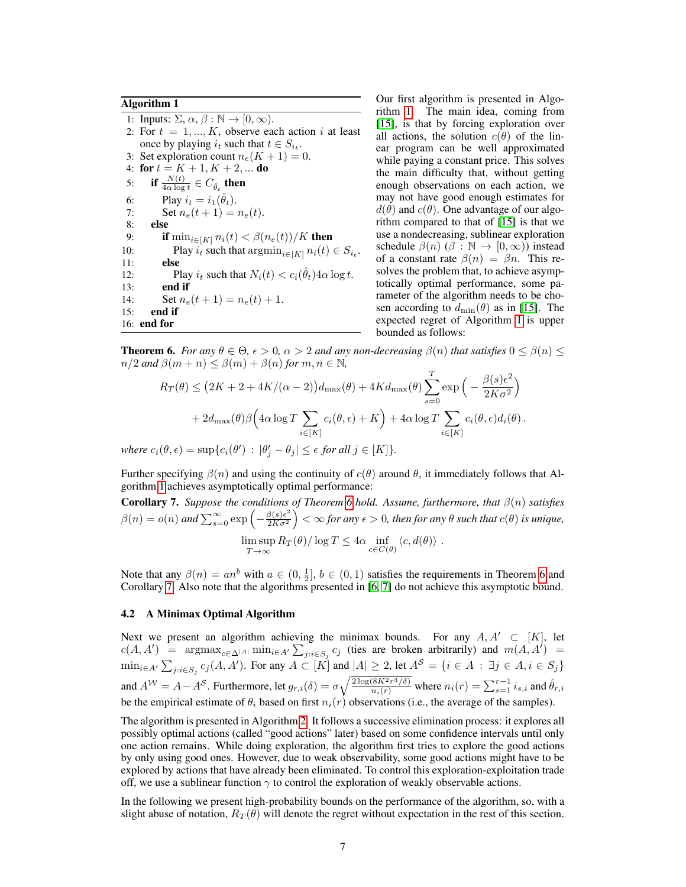### Algorithm 1

<span id="page-6-0"></span>1: Inputs:  $\Sigma, \alpha, \beta : \mathbb{N} \to [0, \infty)$ . 2: For  $t = 1, ..., K$ , observe each action i at least once by playing  $i_t$  such that  $t \in S_{i_t}$ . 3: Set exploration count  $n_e(K + 1) = 0$ . 4: for  $t = K + 1, K + 2, ...$  do 5: if  $\frac{N(t)}{4\alpha \log t} \in C_{\hat{\theta}_t}$  then 6: Play  $i_t = i_1(\hat{\theta}_t)$ . 7: Set  $n_e(t+1) = n_e(t)$ . 8: else 9: **if**  $\min_{i \in [K]} n_i(t) < \beta(n_e(t))/K$  then 10: Play  $i_t$  such that  $\operatorname{argmin}_{i \in [K]} n_i(t) \in S_{i_t}$ .  $11:$ 12: Play  $i_t$  such that  $N_i(t) < c_i(\hat{\theta}_t) 4\alpha \log t$ . 13: end if 14: Set  $n_e(t+1) = n_e(t) + 1$ . 15: end if 16: end for

gorithm [1](#page-6-0) achieves asymptotically optimal performance:

Our first algorithm is presented in Algorithm [1.](#page-6-0) The main idea, coming from [\[15\]](#page-8-14), is that by forcing exploration over all actions, the solution  $c(\theta)$  of the linear program can be well approximated while paying a constant price. This solves the main difficulty that, without getting enough observations on each action, we may not have good enough estimates for  $d(\theta)$  and  $c(\theta)$ . One advantage of our algorithm compared to that of [\[15\]](#page-8-14) is that we use a nondecreasing, sublinear exploration schedule  $\beta(n)$  ( $\beta : \mathbb{N} \to [0, \infty)$ ) instead of a constant rate  $\beta(n) = \beta n$ . This resolves the problem that, to achieve asymptotically optimal performance, some parameter of the algorithm needs to be chosen according to  $d_{\min}(\theta)$  as in [\[15\]](#page-8-14). The expected regret of Algorithm [1](#page-6-0) is upper bounded as follows:

<span id="page-6-1"></span>**Theorem 6.** *For any*  $\theta \in \Theta$ ,  $\epsilon > 0$ ,  $\alpha > 2$  *and any non-decreasing*  $\beta(n)$  *that satisfies*  $0 \leq \beta(n) \leq$  $n/2$  *and*  $\beta(m+n) \leq \beta(m) + \beta(n)$  *for*  $m, n \in \mathbb{N}$ ,  $\overline{T}$ 

$$
R_T(\theta) \le (2K + 2 + 4K/(\alpha - 2))d_{\max}(\theta) + 4Kd_{\max}(\theta) \sum_{s=0}^{T} \exp\left(-\frac{\beta(s)\epsilon^2}{2K\sigma^2}\right)
$$

$$
+ 2d_{\max}(\theta)\beta\left(4\alpha\log T\sum_{i\in[K]}c_i(\theta,\epsilon) + K\right) + 4\alpha\log T\sum_{i\in[K]}c_i(\theta,\epsilon)d_i(\theta).
$$
  
where  $c_i(\theta,\epsilon) = \sup\{c_i(\theta') : |\theta'_j - \theta_j| \le \epsilon \text{ for all } j \in [K]\}.$ 

Further specifying  $\beta(n)$  and using the continuity of  $c(\theta)$  around  $\theta$ , it immediately follows that Al-

<span id="page-6-2"></span>Corollary 7. *Suppose the conditions of Theorem [6](#page-6-1) hold. Assume, furthermore, that* β(n) *satisfies*  $\beta(n) = o(n)$  and  $\sum_{s=0}^{\infty} \exp\left(-\frac{\beta(s)\epsilon^2}{2K\sigma^2}\right)$  $\frac{\beta(s)\epsilon^2}{2K\sigma^2}\Big)<\infty$  for any  $\epsilon>0$ , then for any  $\theta$  such that  $c(\theta)$  is unique,  $\limsup_{T\to\infty} R_T(\theta) / \log T \leq 4\alpha \inf_{c \in C(\theta)} \langle c, d(\theta) \rangle$ .

Note that any  $\beta(n) = an^b$  with  $a \in (0, \frac{1}{2}], b \in (0, 1)$  satisfies the requirements in Theorem [6](#page-6-1) and Corollary [7.](#page-6-2) Also note that the algorithms presented in [\[6,](#page-8-5) [7\]](#page-8-6) do not achieve this asymptotic bound.

### 4.2 A Minimax Optimal Algorithm

Next we present an algorithm achieving the minimax bounds. For any  $A, A' \subset [K]$ , let  $c(A, A')$  = argmax<sub>c∈△|A|</sub> min<sub>i∈A'</sub>  $\sum_{j:i \in S_j} c_j$  (ties are broken arbitrarily) and  $m(A, A')$  =  $\min_{i \in A'} \sum_{j:i \in S_j} c_j(A, A')$ . For any  $A \subset [K]$  and  $|A| \geq 2$ , let  $A^S = \{i \in A : \exists j \in A, i \in S_j\}$ and  $A^{\mathcal{W}} = A - A^{\mathcal{S}}$ . Furthermore, let  $g_{r,i}(\delta) = \sigma \sqrt{\frac{2 \log(8K^2 r^3/\delta)}{n_i(r)}}$  where  $n_i(r) = \sum_{s=1}^{r-1} i_{s,i}$  and  $\hat{\theta}_{r,i}$ be the empirical estimate of  $\theta_i$  based on first  $n_i(r)$  observations (i.e., the average of the samples).

The algorithm is presented in Algorithm [2.](#page-7-1) It follows a successive elimination process: it explores all possibly optimal actions (called "good actions" later) based on some confidence intervals until only one action remains. While doing exploration, the algorithm first tries to explore the good actions by only using good ones. However, due to weak observability, some good actions might have to be explored by actions that have already been eliminated. To control this exploration-exploitation trade off, we use a sublinear function  $\gamma$  to control the exploration of weakly observable actions.

In the following we present high-probability bounds on the performance of the algorithm, so, with a slight abuse of notation,  $R_T(\theta)$  will denote the regret without expectation in the rest of this section.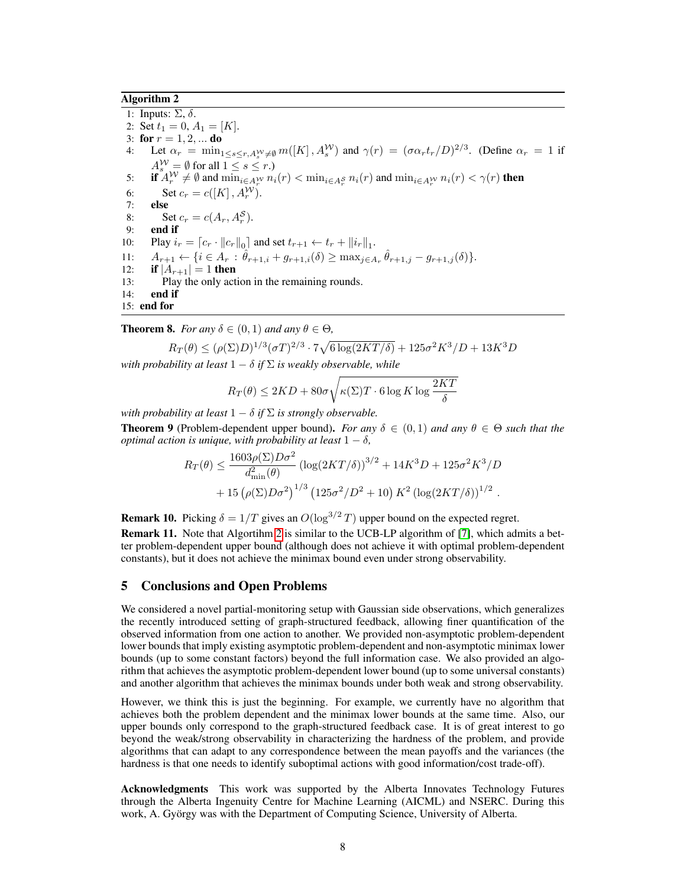# Algorithm 2

<span id="page-7-1"></span>1: Inputs:  $\Sigma$ ,  $\delta$ . 2: Set  $t_1 = 0$ ,  $A_1 = [K]$ . 3: for  $r = 1, 2, ...$  do 4: Let  $\alpha_r = \min_{1 \le s \le r, A_s^W \neq \emptyset} m([K], A_s^W)$  and  $\gamma(r) = (\sigma \alpha_r t_r/D)^{2/3}$ . (Define  $\alpha_r = 1$  if  $A_s^{\mathcal{W}} = \emptyset$  for all  $1 \leq s \leq r$ .) 5: **if**  $A_r^{\mathcal{W}} \neq \emptyset$  and  $\min_{i \in A_r^{\mathcal{W}}} n_i(r) < \min_{i \in A_r^{\mathcal{S}}} n_i(r)$  and  $\min_{i \in A_r^{\mathcal{W}}} n_i(r) < \gamma(r)$  then 6: Set  $c_r = c([K], A_r^{\mathcal{W}})$ . 7: else 8: Set  $c_r = c(A_r, A_r^S)$ . 9: end if 10: Play  $i_r = [c_r \cdot ||c_r||_0]$  and set  $t_{r+1} \leftarrow t_r + ||i_r||_1$ . 11:  $A_{r+1} \leftarrow \{i \in A_r : \hat{\theta}_{r+1,i} + g_{r+1,i}(\delta) \ge \max_{j \in A_r} \hat{\theta}_{r+1,j} - g_{r+1,j}(\delta)\}.$ 12: **if**  $|A_{r+1}| = 1$  then 13: Play the only action in the remaining rounds. 14: end if 15: end for

**Theorem 8.** *For any*  $\delta \in (0,1)$  *and any*  $\theta \in \Theta$ *,* 

$$
R_T(\theta) \le (\rho(\Sigma)D)^{1/3} (\sigma T)^{2/3} \cdot 7\sqrt{6 \log(2KT/\delta)} + 125\sigma^2 K^3/D + 13K^3 D
$$

*with probability at least*  $1 - \delta$  *if*  $\Sigma$  *is weakly observable, while* 

$$
R_T(\theta) \le 2KD + 80\sigma \sqrt{\kappa(\Sigma)T \cdot 6\log K \log \frac{2KT}{\delta}}
$$

*with probability at least*  $1 - \delta$  *if*  $\Sigma$  *is strongly observable.* 

**Theorem 9** (Problem-dependent upper bound). *For any*  $\delta \in (0,1)$  *and any*  $\theta \in \Theta$  *such that the optimal action is unique, with probability at least*  $1 - \delta$ ,

$$
R_T(\theta) \le \frac{1603\rho(\Sigma)D\sigma^2}{d_{\min}^2(\theta)} \left(\log(2KT/\delta)\right)^{3/2} + 14K^3D + 125\sigma^2K^3/D + 15\left(\rho(\Sigma)D\sigma^2\right)^{1/3}\left(125\sigma^2/D^2 + 10\right)K^2\left(\log(2KT/\delta)\right)^{1/2}.
$$

**Remark 10.** Picking  $\delta = 1/T$  gives an  $O(\log^{3/2} T)$  upper bound on the expected regret.

Remark 11. Note that Algortihm [2](#page-7-1) is similar to the UCB-LP algorithm of [\[7\]](#page-8-6), which admits a better problem-dependent upper bound (although does not achieve it with optimal problem-dependent constants), but it does not achieve the minimax bound even under strong observability.

## <span id="page-7-0"></span>5 Conclusions and Open Problems

We considered a novel partial-monitoring setup with Gaussian side observations, which generalizes the recently introduced setting of graph-structured feedback, allowing finer quantification of the observed information from one action to another. We provided non-asymptotic problem-dependent lower bounds that imply existing asymptotic problem-dependent and non-asymptotic minimax lower bounds (up to some constant factors) beyond the full information case. We also provided an algorithm that achieves the asymptotic problem-dependent lower bound (up to some universal constants) and another algorithm that achieves the minimax bounds under both weak and strong observability.

However, we think this is just the beginning. For example, we currently have no algorithm that achieves both the problem dependent and the minimax lower bounds at the same time. Also, our upper bounds only correspond to the graph-structured feedback case. It is of great interest to go beyond the weak/strong observability in characterizing the hardness of the problem, and provide algorithms that can adapt to any correspondence between the mean payoffs and the variances (the hardness is that one needs to identify suboptimal actions with good information/cost trade-off).

Acknowledgments This work was supported by the Alberta Innovates Technology Futures through the Alberta Ingenuity Centre for Machine Learning (AICML) and NSERC. During this work, A. György was with the Department of Computing Science, University of Alberta.